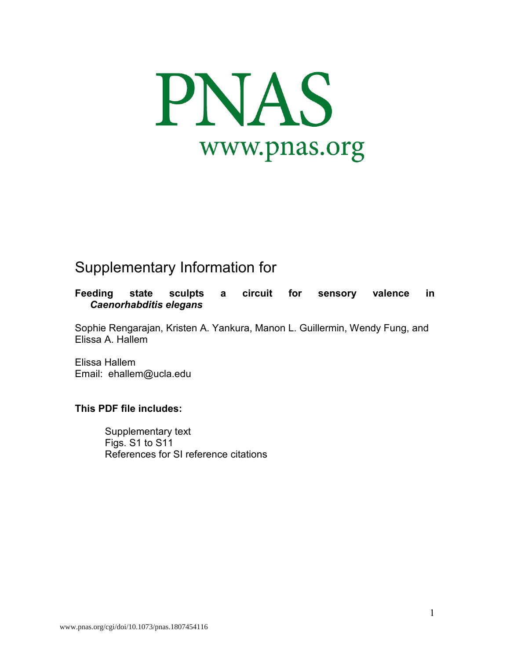

# Supplementary Information for

**Feeding state sculpts a circuit for sensory valence in**  *Caenorhabditis elegans*

Sophie Rengarajan, Kristen A. Yankura, Manon L. Guillermin, Wendy Fung, and Elissa A. Hallem

Elissa Hallem Email: ehallem@ucla.edu

## **This PDF file includes:**

Supplementary text Figs. S1 to S11 References for SI reference citations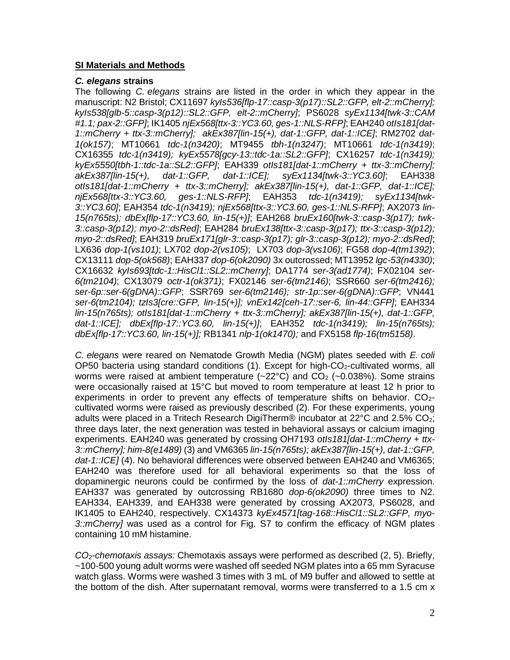#### **SI Materials and Methods**

#### *C. elegans* **strains**

The following *C. elegans* strains are listed in the order in which they appear in the manuscript: N2 Bristol; CX11697 *kyIs536[flp-17::casp-3(p17)::SL2::GFP, elt-2::mCherry]; kyIs538[glb-5::casp-3(p12)::SL2::GFP, elt-2::mCherry]*; PS6028 *syEx1134[twk-3::CAM #1.1; pax-2::GFP]*; IK1405 *njEx568[ttx-3::YC3.60, ges-1::NLS-RFP]*; EAH240 *otIs181[dat-1::mCherry + ttx-3::mCherry]; akEx387[lin-15(+), dat-1::GFP, dat-1::ICE]*; RM2702 *dat-1(ok157)*; MT10661 *tdc-1(n3420)*; MT9455 *tbh-1(n3247)*; MT10661 *tdc-1(n3419)*; CX16355 *tdc-1(n3419); kyEx5578[gcy-13::tdc-1a::SL2::GFP]*; CX16257 *tdc-1(n3419); kyEx5550[tbh-1::tdc-1a::SL2::GFP]*; EAH339 *otIs181[dat-1::mCherry + ttx-3::mCherry]; akEx387[lin-15(+), dat-1::GFP, dat-1::ICE]; syEx1134[twk-3::YC3.60]*; EAH338 *otIs181[dat-1::mCherry + ttx-3::mCherry]; akEx387[lin-15(+), dat-1::GFP, dat-1::ICE]; njEx568[ttx-3::YC3.60, ges-1::NLS-RFP]*; EAH353 *tdc-1(n3419); syEx1134[twk-3::YC3.60]*; EAH354 *tdc-1(n3419); njEx568[ttx-3::YC3.60, ges-1::NLS-RFP]*; AX2073 *lin-15(n765ts); dbEx[flp-17::YC3.60, lin-15(+)]*; EAH268 *bruEx160[twk-3::casp-3(p17); twk-3::casp-3(p12); myo-2::dsRed]*; EAH284 *bruEx138[ttx-3::casp-3(p17); ttx-3::casp-3(p12); myo-2::dsRed]*; EAH319 *bruEx171[glr-3::casp-3(p17); glr-3::casp-3(p12); myo-2::dsRed]*; LX636 *dop-1(vs101)*; LX702 *dop-2(vs105)*; LX703 *dop-3(vs106)*; FG58 *dop-4(tm1392)*; CX13111 *dop-5(ok568)*; EAH337 *dop-6(ok2090)* 3x outcrossed; MT13952 *lgc-53(n4330)*; CX16632 *kyIs693[tdc-1::HisCl1::SL2::mCherry]*; DA1774 *ser-3(ad1774)*; FX02104 *ser-6(tm2104)*; CX13079 *octr-1(ok371)*; FX02146 *ser-6(tm2146)*; SSR660 *ser-6(tm2416); ser-6p::ser-6(gDNA)::GFP*; SSR769 *ser-6(tm2146); str-1p::ser-6(gDNA)::GFP*; VN441 *ser-6(tm2104); tzIs3[cre::GFP, lin-15(+)]; vnEx142[ceh-17::ser-6, lin-44::GFP]*; EAH334 *lin-15(n765ts); otIs181[dat-1::mCherry + ttx-3::mCherry]; akEx387[lin-15(+), dat-1::GFP, dat-1::ICE]; dbEx[flp-17::YC3.60, lin-15(+)]*; EAH352 *tdc-1(n3419); lin-15(n765ts); dbEx[flp-17::YC3.60, lin-15(+)];* RB1341 *nlp-1(ok1470);* and FX5158 *flp-16(tm5158)*.

*C. elegans* were reared on Nematode Growth Media (NGM) plates seeded with *E. coli*   $OP50$  bacteria using standard conditions (1). Except for high- $CO<sub>2</sub>$ -cultivated worms, all worms were raised at ambient temperature  $(-22^{\circ}C)$  and  $CO<sub>2</sub>$  (~0.038%). Some strains were occasionally raised at 15°C but moved to room temperature at least 12 h prior to experiments in order to prevent any effects of temperature shifts on behavior.  $CO<sub>2</sub>$ cultivated worms were raised as previously described (2). For these experiments, young adults were placed in a Tritech Research DigiTherm® incubator at  $22^{\circ}$ C and  $2.5\%$  CO<sub>2</sub>; three days later, the next generation was tested in behavioral assays or calcium imaging experiments. EAH240 was generated by crossing OH7193 *otIs181[dat-1::mCherry + ttx-3::mCherry]; him-8(e1489)* (3) and VM6365 *lin-15(n765ts); akEx387[lin-15(+), dat-1::GFP, dat-1::ICE]* (4). No behavioral differences were observed between EAH240 and VM6365; EAH240 was therefore used for all behavioral experiments so that the loss of dopaminergic neurons could be confirmed by the loss of *dat-1::mCherry* expression. EAH337 was generated by outcrossing RB1680 *dop-6(ok2090)* three times to N2. EAH334, EAH339, and EAH338 were generated by crossing AX2073, PS6028, and IK1405 to EAH240, respectively. CX14373 *kyEx4571[tag-168::HisCl1::SL2::GFP, myo-3::mCherry]* was used as a control for Fig. S7 to confirm the efficacy of NGM plates containing 10 mM histamine.

*CO2-chemotaxis assays:* Chemotaxis assays were performed as described (2, 5). Briefly, ~100-500 young adult worms were washed off seeded NGM plates into a 65 mm Syracuse watch glass. Worms were washed 3 times with 3 mL of M9 buffer and allowed to settle at the bottom of the dish. After supernatant removal, worms were transferred to a 1.5 cm x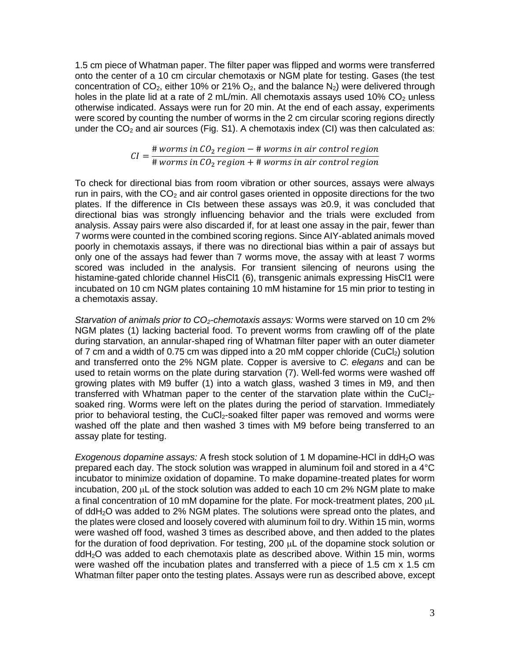1.5 cm piece of Whatman paper. The filter paper was flipped and worms were transferred onto the center of a 10 cm circular chemotaxis or NGM plate for testing. Gases (the test concentration of CO<sub>2</sub>, either 10% or 21% O<sub>2</sub>, and the balance N<sub>2</sub>) were delivered through holes in the plate lid at a rate of 2 mL/min. All chemotaxis assays used 10%  $CO<sub>2</sub>$  unless otherwise indicated. Assays were run for 20 min. At the end of each assay, experiments were scored by counting the number of worms in the 2 cm circular scoring regions directly under the  $CO<sub>2</sub>$  and air sources (Fig. S1). A chemotaxis index (CI) was then calculated as:

$$
CI = \frac{\# \, worms \, in \, CO_2 \, region - \# \, worms \, in \, air \, control \, region}{\# \, worms \, in \, CO_2 \, region + \# \, worms \, in \, air \, control \, region}
$$

To check for directional bias from room vibration or other sources, assays were always run in pairs, with the  $CO<sub>2</sub>$  and air control gases oriented in opposite directions for the two plates. If the difference in CIs between these assays was ≥0.9, it was concluded that directional bias was strongly influencing behavior and the trials were excluded from analysis. Assay pairs were also discarded if, for at least one assay in the pair, fewer than 7 worms were counted in the combined scoring regions. Since AIY-ablated animals moved poorly in chemotaxis assays, if there was no directional bias within a pair of assays but only one of the assays had fewer than 7 worms move, the assay with at least 7 worms scored was included in the analysis. For transient silencing of neurons using the histamine-gated chloride channel HisCl1 (6), transgenic animals expressing HisCl1 were incubated on 10 cm NGM plates containing 10 mM histamine for 15 min prior to testing in a chemotaxis assay.

*Starvation of animals prior to CO2-chemotaxis assays:* Worms were starved on 10 cm 2% NGM plates (1) lacking bacterial food. To prevent worms from crawling off of the plate during starvation, an annular-shaped ring of Whatman filter paper with an outer diameter of 7 cm and a width of 0.75 cm was dipped into a 20 mM copper chloride  $(CuCl<sub>2</sub>)$  solution and transferred onto the 2% NGM plate. Copper is aversive to *C. elegans* and can be used to retain worms on the plate during starvation (7). Well-fed worms were washed off growing plates with M9 buffer (1) into a watch glass, washed 3 times in M9, and then transferred with Whatman paper to the center of the starvation plate within the CuCl $_{2}$ soaked ring. Worms were left on the plates during the period of starvation. Immediately prior to behavioral testing, the CuCl<sub>2</sub>-soaked filter paper was removed and worms were washed off the plate and then washed 3 times with M9 before being transferred to an assay plate for testing.

*Exogenous dopamine assays:* A fresh stock solution of 1 M dopamine-HCl in ddH2O was prepared each day. The stock solution was wrapped in aluminum foil and stored in a 4°C incubator to minimize oxidation of dopamine. To make dopamine-treated plates for worm incubation, 200  $\mu$ L of the stock solution was added to each 10 cm 2% NGM plate to make a final concentration of 10 mM dopamine for the plate. For mock-treatment plates, 200  $\mu$ L of ddH2O was added to 2% NGM plates. The solutions were spread onto the plates, and the plates were closed and loosely covered with aluminum foil to dry. Within 15 min, worms were washed off food, washed 3 times as described above, and then added to the plates for the duration of food deprivation. For testing, 200  $\mu$ L of the dopamine stock solution or ddH2O was added to each chemotaxis plate as described above. Within 15 min, worms were washed off the incubation plates and transferred with a piece of 1.5 cm x 1.5 cm Whatman filter paper onto the testing plates. Assays were run as described above, except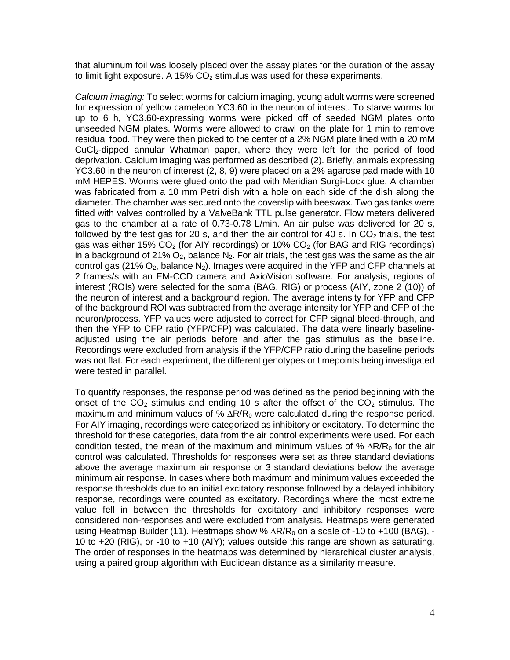that aluminum foil was loosely placed over the assay plates for the duration of the assay to limit light exposure. A 15%  $CO<sub>2</sub>$  stimulus was used for these experiments.

*Calcium imaging:* To select worms for calcium imaging, young adult worms were screened for expression of yellow cameleon YC3.60 in the neuron of interest. To starve worms for up to 6 h, YC3.60-expressing worms were picked off of seeded NGM plates onto unseeded NGM plates. Worms were allowed to crawl on the plate for 1 min to remove residual food. They were then picked to the center of a 2% NGM plate lined with a 20 mM CuCl2-dipped annular Whatman paper, where they were left for the period of food deprivation. Calcium imaging was performed as described (2). Briefly, animals expressing YC3.60 in the neuron of interest (2, 8, 9) were placed on a 2% agarose pad made with 10 mM HEPES. Worms were glued onto the pad with Meridian Surgi-Lock glue. A chamber was fabricated from a 10 mm Petri dish with a hole on each side of the dish along the diameter. The chamber was secured onto the coverslip with beeswax. Two gas tanks were fitted with valves controlled by a ValveBank TTL pulse generator. Flow meters delivered gas to the chamber at a rate of 0.73-0.78 L/min. An air pulse was delivered for 20 s, followed by the test gas for 20 s, and then the air control for 40 s. In  $CO<sub>2</sub>$  trials, the test gas was either 15%  $CO<sub>2</sub>$  (for AIY recordings) or 10%  $CO<sub>2</sub>$  (for BAG and RIG recordings) in a background of 21%  $O_2$ , balance  $N_2$ . For air trials, the test gas was the same as the air control gas (21%  $O_2$ , balance  $N_2$ ). Images were acquired in the YFP and CFP channels at 2 frames/s with an EM-CCD camera and AxioVision software. For analysis, regions of interest (ROIs) were selected for the soma (BAG, RIG) or process (AIY, zone 2 (10)) of the neuron of interest and a background region. The average intensity for YFP and CFP of the background ROI was subtracted from the average intensity for YFP and CFP of the neuron/process. YFP values were adjusted to correct for CFP signal bleed-through, and then the YFP to CFP ratio (YFP/CFP) was calculated. The data were linearly baselineadjusted using the air periods before and after the gas stimulus as the baseline. Recordings were excluded from analysis if the YFP/CFP ratio during the baseline periods was not flat. For each experiment, the different genotypes or timepoints being investigated were tested in parallel.

To quantify responses, the response period was defined as the period beginning with the onset of the  $CO<sub>2</sub>$  stimulus and ending 10 s after the offset of the  $CO<sub>2</sub>$  stimulus. The maximum and minimum values of %  $\Delta R/R_0$  were calculated during the response period. For AIY imaging, recordings were categorized as inhibitory or excitatory. To determine the threshold for these categories, data from the air control experiments were used. For each condition tested, the mean of the maximum and minimum values of %  $\Delta R/R_0$  for the air control was calculated. Thresholds for responses were set as three standard deviations above the average maximum air response or 3 standard deviations below the average minimum air response. In cases where both maximum and minimum values exceeded the response thresholds due to an initial excitatory response followed by a delayed inhibitory response, recordings were counted as excitatory. Recordings where the most extreme value fell in between the thresholds for excitatory and inhibitory responses were considered non-responses and were excluded from analysis. Heatmaps were generated using Heatmap Builder (11). Heatmaps show %  $\Delta R/R_0$  on a scale of -10 to +100 (BAG), -10 to +20 (RIG), or -10 to +10 (AIY); values outside this range are shown as saturating. The order of responses in the heatmaps was determined by hierarchical cluster analysis, using a paired group algorithm with Euclidean distance as a similarity measure.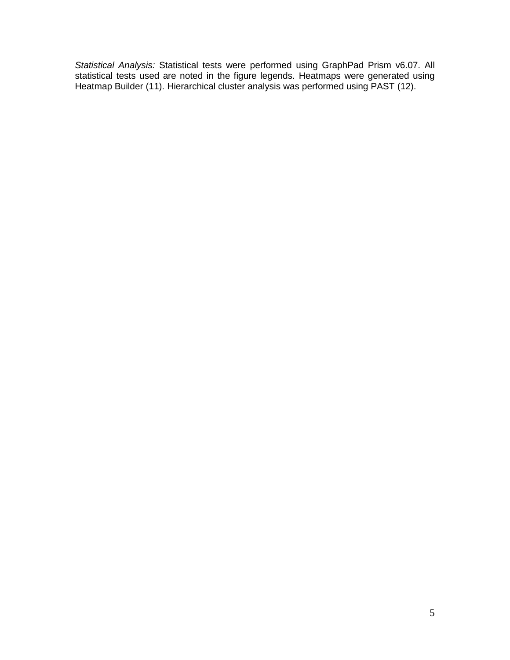*Statistical Analysis:* Statistical tests were performed using GraphPad Prism v6.07. All statistical tests used are noted in the figure legends. Heatmaps were generated using Heatmap Builder (11). Hierarchical cluster analysis was performed using PAST (12).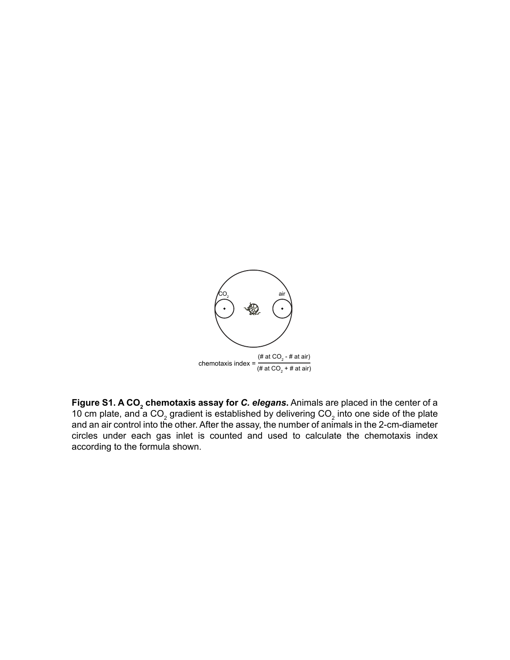

**Figure S1. A CO<sub>2</sub> chemotaxis assay for** *C. elegans***.** Animals are placed in the center of a 10 cm plate, and a CO<sub>2</sub> gradient is established by delivering CO<sub>2</sub> into one side of the plate and an air control into the other. After the assay, the number of animals in the 2-cm-diameter circles under each gas inlet is counted and used to calculate the chemotaxis index according to the formula shown.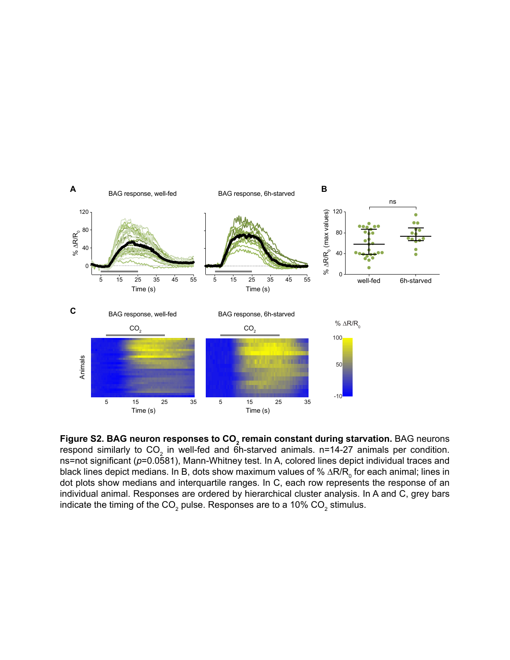

**Figure S2. BAG neuron responses to CO<sub>2</sub> remain constant during starvation.** BAG neurons respond similarly to CO<sub>2</sub> in well-fed and 6h-starved animals. n=14-27 animals per condition. ns=not significant (*p*=0.0581), Mann-Whitney test. In A, colored lines depict individual traces and black lines depict medians. In B, dots show maximum values of %  $\Delta {\sf R}/{\sf R}_{{}_0}$  for each animal; lines in dot plots show medians and interquartile ranges. In C, each row represents the response of an individual animal. Responses are ordered by hierarchical cluster analysis. In A and C, grey bars indicate the timing of the CO<sub>2</sub> pulse. Responses are to a 10% CO<sub>2</sub> stimulus.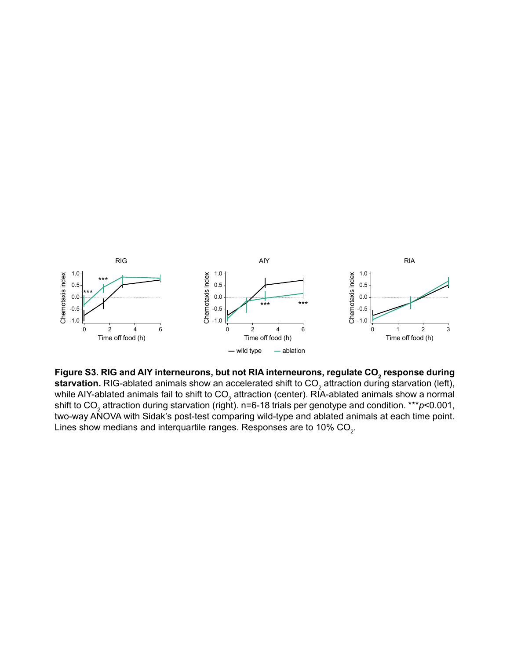

Figure S3. RIG and AIY interneurons, but not RIA interneurons, regulate CO<sub>2</sub> response during  ${\sf starvation.}$  RIG-ablated animals show an accelerated shift to CO $_2$  attraction during starvation (left), while AIY-ablated animals fail to shift to CO $_{\rm 2}$  attraction (center). RIA-ablated animals show a normal shift to CO<sub>2</sub> attraction during starvation (right). n=6-18 trials per genotype and condition. \*\*\**p<*0.001, two-way ANOVA with Sidak's post-test comparing wild-type and ablated animals at each time point. Lines show medians and interquartile ranges. Responses are to 10% CO $_{\textrm{\tiny{2}}}$ .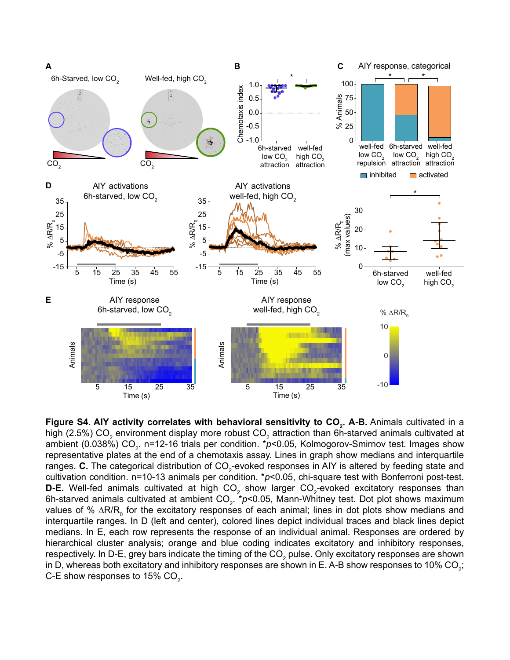

**Figure S4. AIY activity correlates with behavioral sensitivity to CO<sub>2</sub>. A-B. Animals cultivated in a** high (2.5%) CO $_{\rm _2}$  environment display more robust CO $_{\rm _2}$  attraction than 6h-starved animals cultivated at ambient (0.038%) CO<sub>2</sub>. n=12-16 trials per condition. \**p*<0.05, Kolmogorov-Smirnov test. Images show representative plates at the end of a chemotaxis assay. Lines in graph show medians and interquartile ranges. **C.** The categorical distribution of CO<sub>2</sub>-evoked responses in AIY is altered by feeding state and cultivation condition. n=10-13 animals per condition. \**p*<0.05, chi-square test with Bonferroni post-test. **D-E.** Well-fed animals cultivated at high  $\mathsf{CO}_2$  show larger  $\mathsf{CO}_2$ -evoked excitatory responses than 6h-starved animals cultivated at ambient CO<sub>2</sub>. \**p*<0.05, Mann-Whitney test. Dot plot shows maximum values of % ∆R/R<sub>0</sub> for the excitatory responses of each animal; lines in dot plots show medians and interquartile ranges. In D (left and center), colored lines depict individual traces and black lines depict medians. In E, each row represents the response of an individual animal. Responses are ordered by hierarchical cluster analysis; orange and blue coding indicates excitatory and inhibitory responses, respectively. In D-E, grey bars indicate the timing of the CO $_2$  pulse. Only excitatory responses are shown in D, whereas both excitatory and inhibitory responses are shown in E. A-B show responses to 10% CO<sub>2</sub>; C-E show responses to 15% CO $_{\textrm{\tiny{2}}}$ .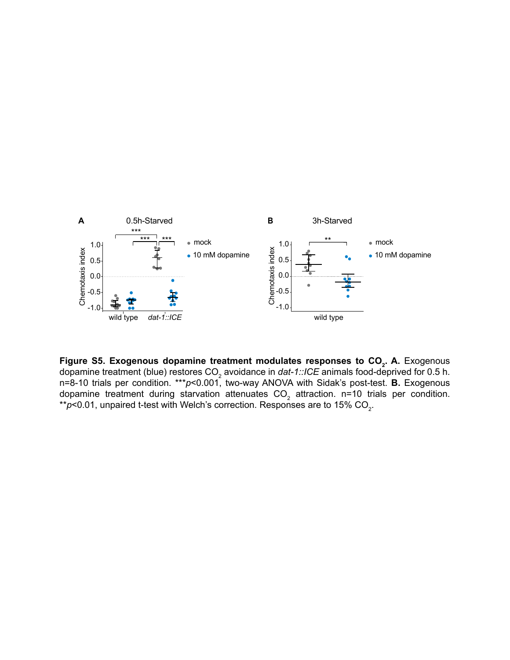

**Figure S5. Exogenous dopamine treatment modulates responses to CO<sub>2</sub>. A. Exogenous** dopamine treatment (blue) restores CO<sub>2</sub> avoidance in *dat-1::ICE* animals food-deprived for 0.5 h. n=8-10 trials per condition. \*\*\**p*<0.001, two-way ANOVA with Sidak's post-test. **B.** Exogenous dopamine treatment during starvation attenuates CO $_{\rm 2}$  attraction. n=10 trials per condition.  $^{\star}$ *r*)<0.01, unpaired t-test with Welch's correction. Responses are to 15% CO $_{2}$ .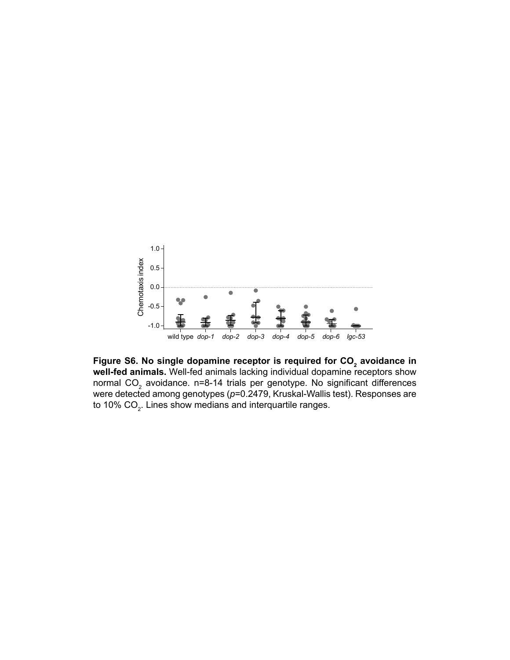

Figure S6. No single dopamine receptor is required for CO<sub>2</sub> avoidance in **well-fed animals.** Well-fed animals lacking individual dopamine receptors show normal CO $_2$  avoidance. n=8-14 trials per genotype. No significant differences were detected among genotypes (*p*=0.2479, Kruskal-Wallis test). Responses are to 10% CO $_{\textrm{\tiny{2}}}$ . Lines show medians and interquartile ranges.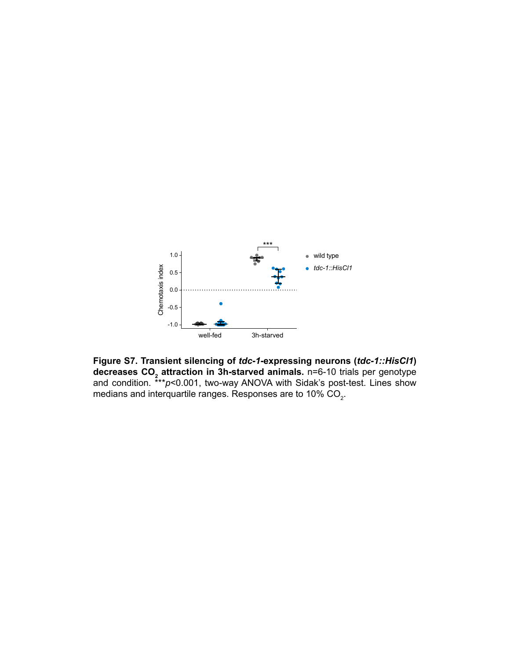

**Figure S7. Transient silencing of** *tdc-1***-expressing neurons (***tdc-1::HisCl1***) decreases CO<sub>2</sub> attraction in 3h-starved animals.** n=6-10 trials per genotype and condition. \*\*\**p*<0.001, two-way ANOVA with Sidak's post-test. Lines show medians and interquartile ranges. Responses are to 10% CO $_{\textrm{\tiny{2}}}$ .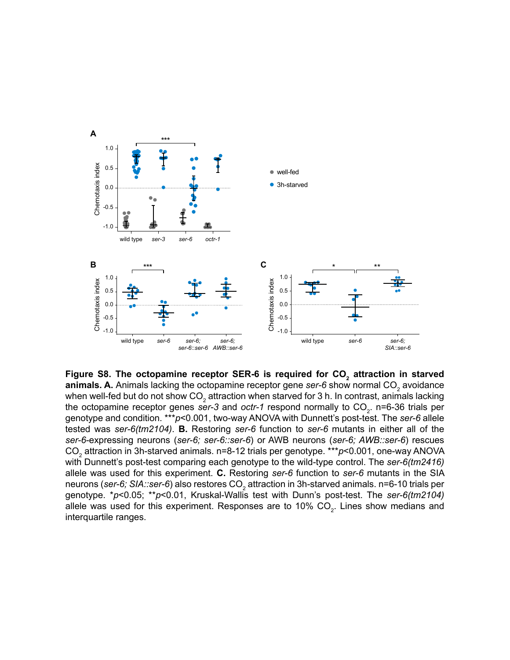

Figure S8. The octopamine receptor SER-6 is required for CO<sub>2</sub> attraction in starved **animals. A.** Animals lacking the octopamine receptor gene *ser-6* show normal CO<sub>2</sub> avoidance when well-fed but do not show CO $_{\textrm{\tiny{2}}}$  attraction when starved for 3 h. In contrast, animals lacking the octopamine receptor genes *ser-3* and *octr-1* respond normally to CO<sub>2</sub>. n=6-36 trials per genotype and condition. \*\*\**p*<0.001, two-way ANOVA with Dunnett's post-test. The *ser-6* allele tested was *ser-6(tm2104)*. **B.** Restoring *ser-6* function to *ser-6* mutants in either all of the *ser-6*-expressing neurons (*ser-6; ser-6::ser-6*) or AWB neurons (*ser-6; AWB::ser-6*) rescues CO<sub>2</sub> attraction in 3h-starved animals. n=8-12 trials per genotype. \*\*\**p<*0.001, one-way ANOVA with Dunnett's post-test comparing each genotype to the wild-type control. The *ser-6(tm2416)* allele was used for this experiment. **C.** Restoring *ser-6* function to *ser-6* mutants in the SIA neurons (*ser-6; SIA::ser-6*) also restores CO<sub>2</sub> attraction in 3h-starved animals. n=6-10 trials per genotype. \**p*<0.05; \*\**p*<0.01, Kruskal-Wallis test with Dunn's post-test. The *ser-6(tm2104)* allele was used for this experiment. Responses are to 10% CO<sub>2</sub>. Lines show medians and interquartile ranges.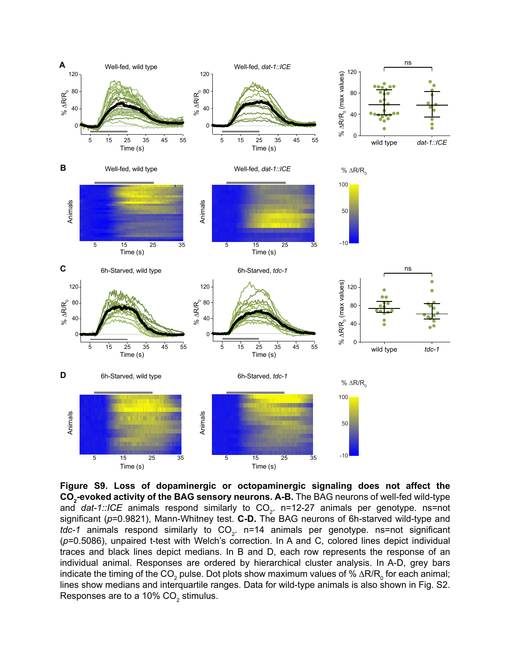

**Figure S9. Loss of dopaminergic or octopaminergic signaling does not affect the**   $\mathbf{CO}_{2}$ -e**voked activity of the BAG sensory neurons. A-B.** The BAG neurons of well-fed wild-type and *dat-1::ICE* animals respond similarly to CO<sub>2</sub>. n=12-27 animals per genotype. ns=not significant (*p*=0.9821), Mann-Whitney test. **C-D.** The BAG neurons of 6h-starved wild-type and *tdc-1* animals respond similarly to CO<sub>2</sub>. n=14 animals per genotype. ns=not significant (*p*=0.5086), unpaired t-test with Welch's correction. In A and C, colored lines depict individual traces and black lines depict medians. In B and D, each row represents the response of an individual animal. Responses are ordered by hierarchical cluster analysis. In A-D, grey bars indicate the timing of the CO<sub>2</sub> pulse. Dot plots show maximum values of % ∆R/R<sub>0</sub> for each animal; lines show medians and interquartile ranges. Data for wild-type animals is also shown in Fig. S2. Responses are to a 10% CO $_{\textrm{\tiny{2}}}$  stimulus.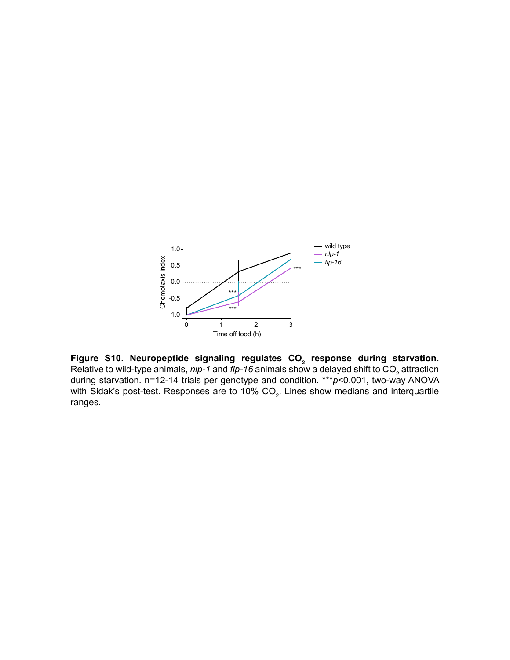

Figure S10. Neuropeptide signaling regulates CO<sub>2</sub> response during starvation. Relative to wild-type animals, *nlp-1* and *flp-16* animals show a delayed shift to CO<sub>2</sub> attraction during starvation. n=12-14 trials per genotype and condition. \*\*\**p*<0.001, two-way ANOVA with Sidak's post-test. Responses are to 10% CO<sub>2</sub>. Lines show medians and interquartile ranges.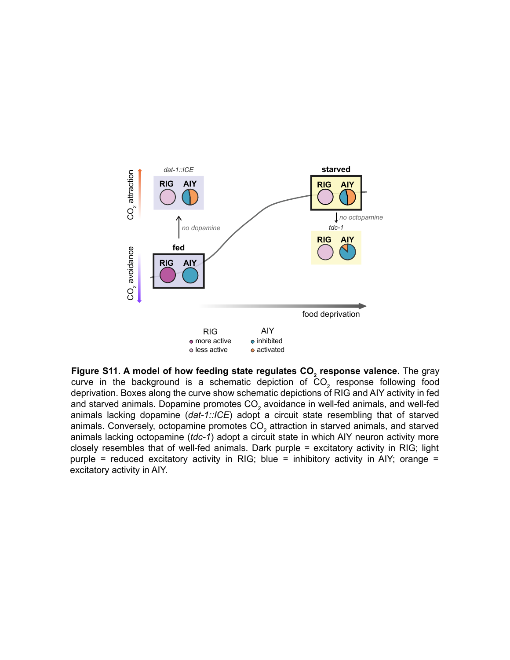

**Figure S11. A model of how feeding state regulates CO<sub>2</sub> response valence.** The gray curve in the background is a schematic depiction of  $\mathsf{CO}_2$  response following food deprivation. Boxes along the curve show schematic depictions of RIG and AIY activity in fed and starved animals. Dopamine promotes CO $_{\rm 2}$  avoidance in well-fed animals, and well-fed animals lacking dopamine (dat-1::ICE) adopt a circuit state resembling that of starved animals. Conversely, octopamine promotes CO $_2$  attraction in starved animals, and starved animals lacking octopamine (*tdc-1*) adopt a circuit state in which AIY neuron activity more closely resembles that of well-fed animals. Dark purple = excitatory activity in RIG; light purple = reduced excitatory activity in RIG; blue = inhibitory activity in AIY; orange = excitatory activity in AIY.